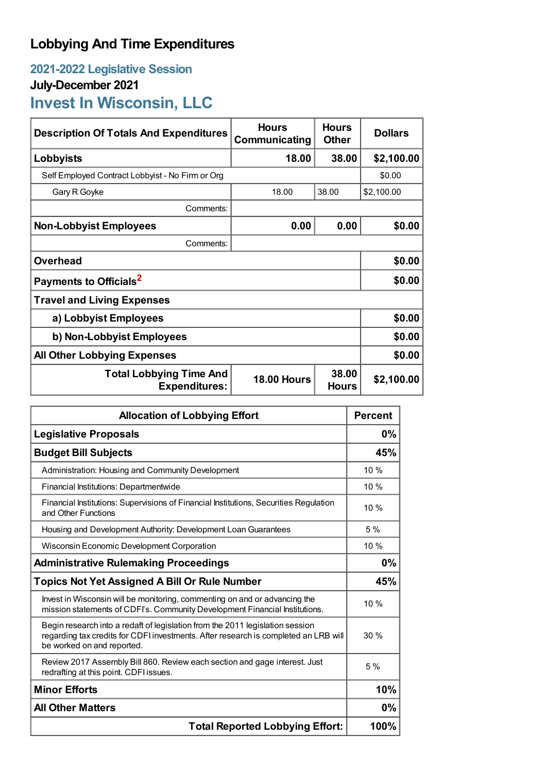## **Lobbying And Time Expenditures**

**2021-2022 Legislative Session July-December 2021 Invest In Wisconsin, LLC**

| <b>Description Of Totals And Expenditures</b>          | <b>Hours</b><br>Communicating | <b>Hours</b><br><b>Other</b> | <b>Dollars</b> |
|--------------------------------------------------------|-------------------------------|------------------------------|----------------|
| Lobbyists                                              | 18.00                         | 38.00                        | \$2,100.00     |
| Self Employed Contract Lobbyist - No Firm or Org       |                               |                              | \$0.00         |
| Gary R Goyke                                           | 18.00                         | 38.00                        | \$2,100.00     |
| Comments:                                              |                               |                              |                |
| <b>Non-Lobbyist Employees</b>                          | 0.00                          | 0.00                         | \$0.00         |
| Comments:                                              |                               |                              |                |
| <b>Overhead</b>                                        |                               |                              | \$0.00         |
| Payments to Officials <sup>2</sup>                     |                               |                              | \$0.00         |
| <b>Travel and Living Expenses</b>                      |                               |                              |                |
| a) Lobbyist Employees                                  |                               |                              | \$0.00         |
| b) Non-Lobbyist Employees                              |                               |                              | \$0.00         |
| <b>All Other Lobbying Expenses</b>                     |                               |                              | \$0.00         |
| <b>Total Lobbying Time And</b><br><b>Expenditures:</b> | <b>18.00 Hours</b>            | 38.00<br><b>Hours</b>        | \$2,100.00     |

| <b>Allocation of Lobbying Effort</b>                                                                                                                                                               |        |
|----------------------------------------------------------------------------------------------------------------------------------------------------------------------------------------------------|--------|
| <b>Legislative Proposals</b>                                                                                                                                                                       |        |
| <b>Budget Bill Subjects</b>                                                                                                                                                                        | 45%    |
| Administration: Housing and Community Development                                                                                                                                                  | 10 %   |
| Financial Institutions: Departmentwide                                                                                                                                                             | 10 %   |
| Financial Institutions: Supervisions of Financial Institutions, Securities Regulation<br>and Other Functions                                                                                       | $10\%$ |
| Housing and Development Authority: Development Loan Guarantees                                                                                                                                     | 5%     |
| Wisconsin Economic Development Corporation                                                                                                                                                         | 10%    |
| <b>Administrative Rulemaking Proceedings</b>                                                                                                                                                       |        |
| <b>Topics Not Yet Assigned A Bill Or Rule Number</b>                                                                                                                                               |        |
| Invest in Wisconsin will be monitoring, commenting on and or advancing the<br>mission statements of CDFI's. Community Development Financial Institutions.                                          |        |
| Begin research into a redaft of legislation from the 2011 legislation session<br>regarding tax credits for CDFI investments. After research is completed an LRB will<br>be worked on and reported. | 30%    |
| Review 2017 Assembly Bill 860. Review each section and gage interest. Just<br>redrafting at this point. CDFI issues.                                                                               | 5%     |
| <b>Minor Efforts</b>                                                                                                                                                                               | 10%    |
| <b>All Other Matters</b>                                                                                                                                                                           |        |
| <b>Total Reported Lobbying Effort:</b>                                                                                                                                                             |        |